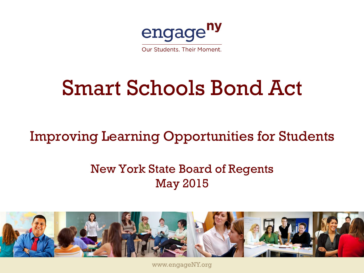

# Smart Schools Bond Act

### Improving Learning Opportunities for Students

#### New York State Board of Regents May 2015



www.engageNY.org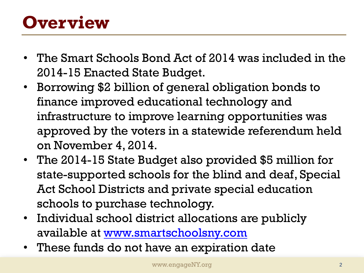## **Overview**

- The Smart Schools Bond Act of 2014 was included in the 2014-15 Enacted State Budget.
- Borrowing \$2 billion of general obligation bonds to finance improved educational technology and infrastructure to improve learning opportunities was approved by the voters in a statewide referendum held on November 4, 2014.
- The 2014-15 State Budget also provided \$5 million for state-supported schools for the blind and deaf, Special Act School Districts and private special education schools to purchase technology.
- Individual school district allocations are publicly available at [www.smartschoolsny.com](http://www.smartschoolsny.com/)
- These funds do not have an expiration date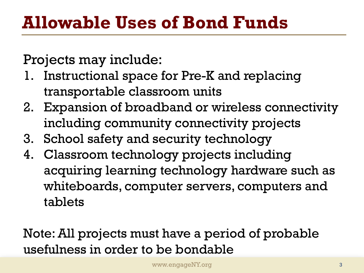Projects may include:

- 1. Instructional space for Pre-K and replacing transportable classroom units
- 2. Expansion of broadband or wireless connectivity including community connectivity projects
- 3. School safety and security technology
- 4. Classroom technology projects including acquiring learning technology hardware such as whiteboards, computer servers, computers and tablets

Note: All projects must have a period of probable usefulness in order to be bondable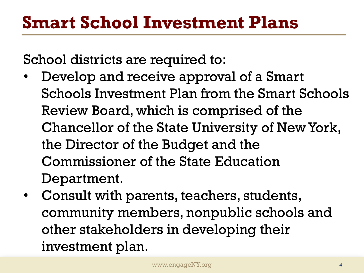## **Smart School Investment Plans**

School districts are required to:

- Develop and receive approval of a Smart Schools Investment Plan from the Smart Schools Review Board, which is comprised of the Chancellor of the State University of New York, the Director of the Budget and the Commissioner of the State Education Department.
- Consult with parents, teachers, students, community members, nonpublic schools and other stakeholders in developing their investment plan.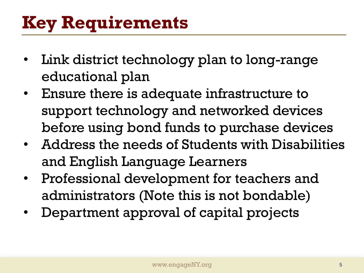## **Key Requirements**

- Link district technology plan to long-range educational plan
- Ensure there is adequate infrastructure to support technology and networked devices before using bond funds to purchase devices
- Address the needs of Students with Disabilities and English Language Learners
- Professional development for teachers and administrators (Note this is not bondable)
- Department approval of capital projects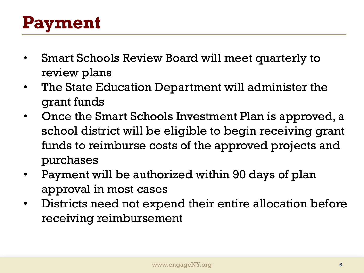## **Payment**

- Smart Schools Review Board will meet quarterly to review plans
- The State Education Department will administer the grant funds
- Once the Smart Schools Investment Plan is approved, a school district will be eligible to begin receiving grant funds to reimburse costs of the approved projects and purchases
- Payment will be authorized within 90 days of plan approval in most cases
- Districts need not expend their entire allocation before receiving reimbursement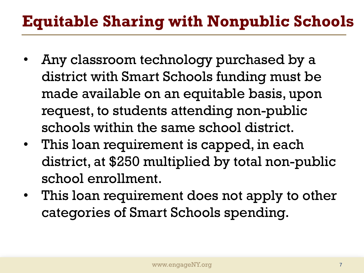### **Equitable Sharing with Nonpublic Schools**

- Any classroom technology purchased by a district with Smart Schools funding must be made available on an equitable basis, upon request, to students attending non-public schools within the same school district.
- This loan requirement is capped, in each district, at \$250 multiplied by total non-public school enrollment.
- This loan requirement does not apply to other categories of Smart Schools spending.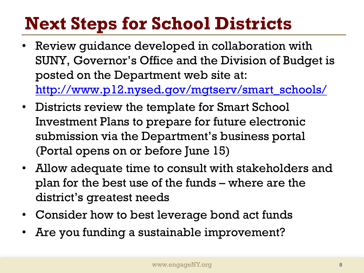## **Next Steps for School Districts**

- Review quidance developed in collaboration with SUNY, Governor's Office and the Division of Budget is posted on the Department web site at: [http://www.p12.nysed.gov/mgtserv/smart\\_schools/](http://www.p12.nysed.gov/mgtserv/smart_schools/)
- Districts review the template for Smart School Investment Plans to prepare for future electronic submission via the Department's business portal (Portal opens on or before June 15)
- Allow adequate time to consult with stakeholders and plan for the best use of the funds – where are the district's greatest needs
- Consider how to best leverage bond act funds
- Are you funding a sustainable improvement?